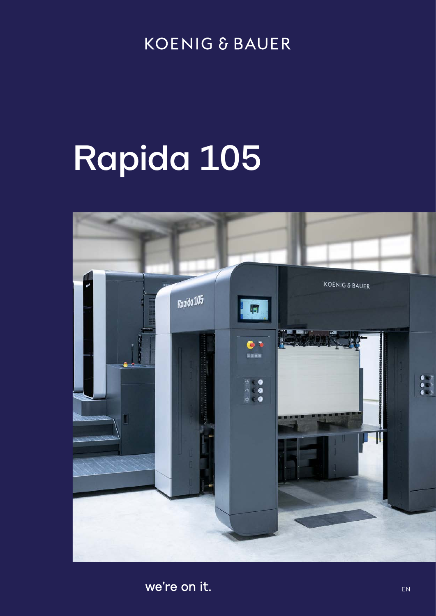### **KOENIG & BAUER**

# Rapida 105



we're on it.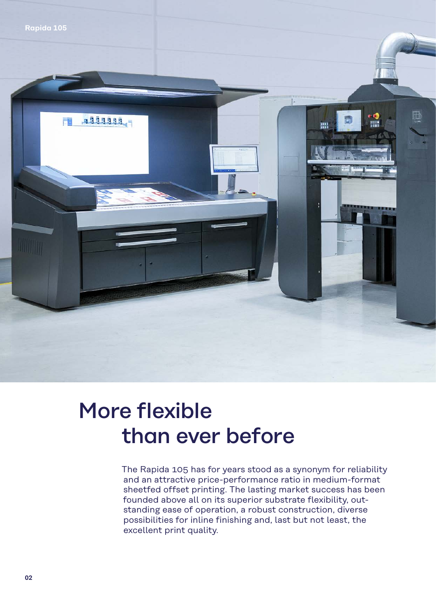

### More flexible than ever before

The Rapida 105 has for years stood as a synonym for reliability and an attractive price-performance ratio in medium-format sheetfed offset printing. The lasting market success has been founded above all on its superior substrate flexibility, outstanding ease of operation, a robust construction, diverse possibilities for inline finishing and, last but not least, the excellent print quality.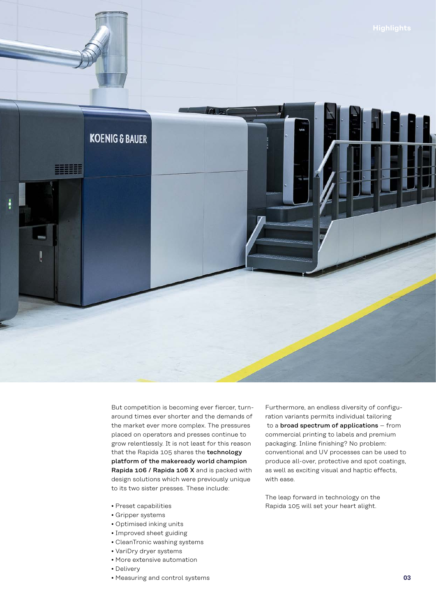

But competition is becoming ever fiercer, turnaround times ever shorter and the demands of the market ever more complex. The pressures placed on operators and presses continue to grow relentlessly. It is not least for this reason that the Rapida 105 shares the technology platform of the makeready world champion Rapida 106 / Rapida 106 X and is packed with design solutions which were previously unique to its two sister presses. These include:

- Preset capabilities
- Gripper systems
- Optimised inking units
- Improved sheet guiding
- CleanTronic washing systems
- VariDry dryer systems
- More extensive automation
- Delivery
- Measuring and control systems

Furthermore, an endless diversity of configuration variants permits individual tailoring to a broad spectrum of applications – from commercial printing to labels and premium packaging. Inline finishing? No problem: conventional and UV processes can be used to produce all-over, protective and spot coatings, as well as exciting visual and haptic effects, with ease.

The leap forward in technology on the Rapida 105 will set your heart alight.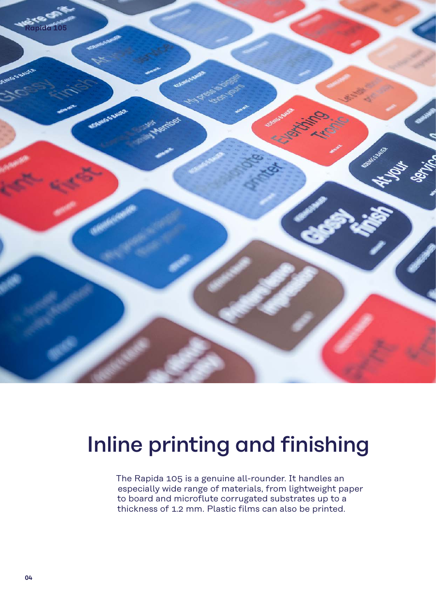

## Inline printing and finishing

The Rapida 105 is a genuine all-rounder. It handles an especially wide range of materials, from lightweight paper to board and microflute corrugated substrates up to a thickness of 1.2 mm. Plastic films can also be printed.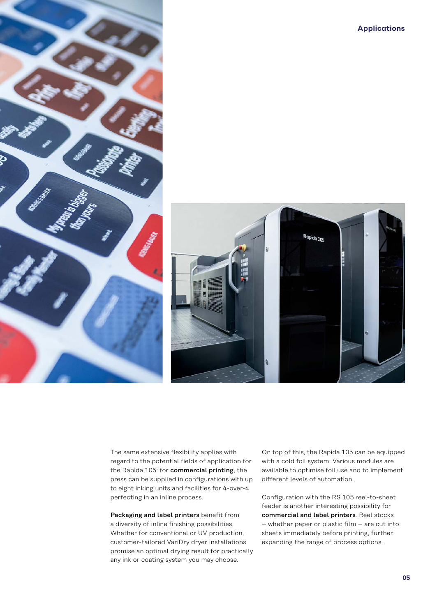



Inding and finishing and finishing and finishing and finish  $\Gamma$  The same extensive flexibility applies with regard to the potential fields of application for the Rapida 105: for commercial printing, the press can be supplied in configurations with up to eight inking units and facilities for 4-over-4 perfecting in an inline process.

> Packaging and label printers benefit from a diversity of inline finishing possibilities. Whether for conventional or UV production, customer-tailored VariDry dryer installations promise an optimal drying result for practically any ink or coating system you may choose.

On top of this, the Rapida 105 can be equipped with a cold foil system. Various modules are available to optimise foil use and to implement different levels of automation.

Configuration with the RS 105 reel-to-sheet feeder is another interesting possibility for commercial and label printers. Reel stocks – whether paper or plastic film – are cut into sheets immediately before printing, further expanding the range of process options.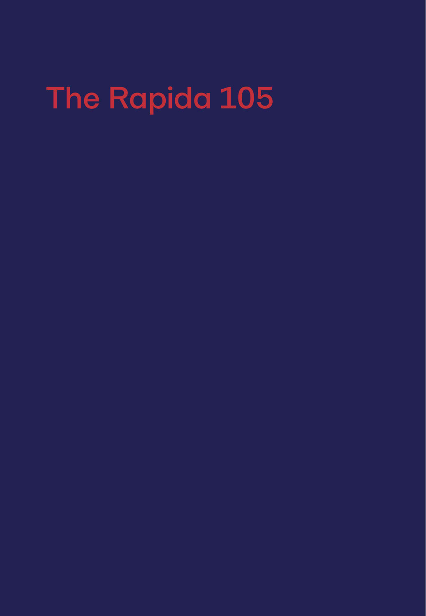## The Rapida 105

- 
- 
- 
- -
	-
-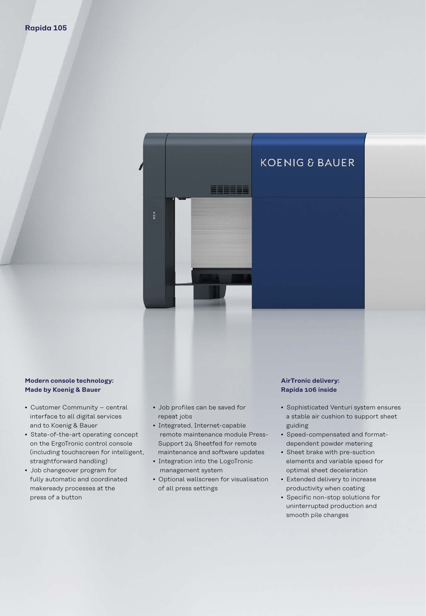

#### **Modern console technology: Made by Koenig & Bauer**

- Customer Community central interface to all digital services and to Koenig & Bauer
- State-of-the-art operating concept on the ErgoTronic control console (including touchscreen for intelligent, straightforward handling)
- Job changeover program for fully automatic and coordinated makeready processes at the press of a button
- Job profiles can be saved for repeat jobs
- Integrated, Internet-capable remote maintenance module Press-Support 24 Sheetfed for remote maintenance and software updates
- Integration into the LogoTronic management system
- Optional wallscreen for visualisation of all press settings

#### **AirTronic delivery: Rapida 106 inside**

- Sophisticated Venturi system ensures a stable air cushion to support sheet guiding
- Speed-compensated and formatdependent powder metering
- Sheet brake with pre-suction elements and variable speed for optimal sheet deceleration
- Extended delivery to increase productivity when coating
- Specific non-stop solutions for uninterrupted production and smooth pile changes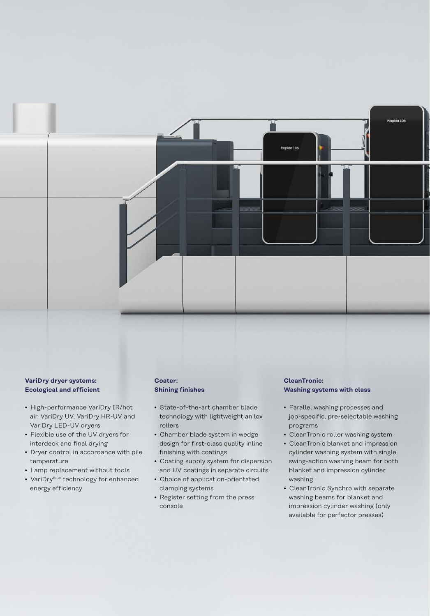

- High-performance VariDry IR/hot air, VariDry UV, VariDry HR-UV and VariDry LED-UV dryers
- Flexible use of the UV dryers for interdeck and final drying
- Dryer control in accordance with pile temperature
- Lamp replacement without tools
- VariDry<sup>Blue</sup> technology for enhanced energy efficiency

#### **Coater: Shining finishes**

- State-of-the-art chamber blade technology with lightweight anilox rollers
- Chamber blade system in wedge design for first-class quality inline finishing with coatings
- Coating supply system for dispersion and UV coatings in separate circuits
- Choice of application-orientated clamping systems
- Register setting from the press console

#### **CleanTronic: Washing systems with class**

Ronido 105

• Parallel washing processes and job-specific, pre-selectable washing programs

Rooldo 105

- CleanTronic roller washing system
- CleanTronic blanket and impression cylinder washing system with single swing-action washing beam for both blanket and impression cylinder washing
- CleanTronic Synchro with separate washing beams for blanket and impression cylinder washing (only available for perfector presses)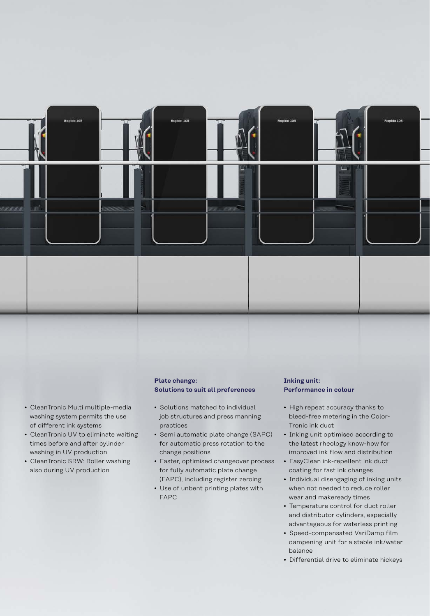

- CleanTronic Multi multiple-media washing system permits the use of different ink systems
- CleanTronic UV to eliminate waiting times before and after cylinder washing in UV production
- CleanTronic SRW: Roller washing also during UV production

#### **Plate change: Solutions to suit all preferences**

- Solutions matched to individual job structures and press manning practices
- Semi automatic plate change (SAPC) for automatic press rotation to the change positions
- Faster, optimised changeover process for fully automatic plate change (FAPC), including register zeroing
- Use of unbent printing plates with FAPC

#### **Inking unit: Performance in colour**

- High repeat accuracy thanks to bleed-free metering in the Color-Tronic ink duct
- Inking unit optimised according to the latest rheology know-how for improved ink flow and distribution
- EasyClean ink-repellent ink duct coating for fast ink changes
- Individual disengaging of inking units when not needed to reduce roller wear and makeready times
- Temperature control for duct roller and distributor cylinders, especially advantageous for waterless printing
- Speed-compensated VariDamp film dampening unit for a stable ink/water balance
- Differential drive to eliminate hickeys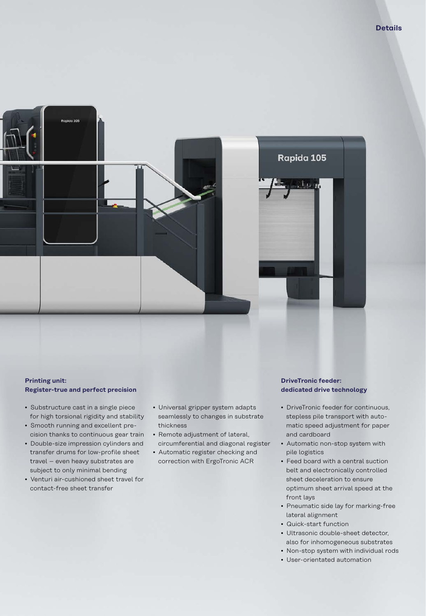

#### **Printing unit: Register-true and perfect precision**

- Substructure cast in a single piece for high torsional rigidity and stability
- Smooth running and excellent pre-
- cision thanks to continuous gear train • Double-size impression cylinders and transfer drums for low-profile sheet
- travel even heavy substrates are subject to only minimal bending • Venturi air-cushioned sheet travel for
- contact-free sheet transfer
- Universal gripper system adapts seamlessly to changes in substrate thickness
- Remote adjustment of lateral, circumferential and diagonal register
- Automatic register checking and correction with ErgoTronic ACR

#### **DriveTronic feeder: dedicated drive technology**

- DriveTronic feeder for continuous, stepless pile transport with automatic speed adjustment for paper and cardboard
- Automatic non-stop system with pile logistics
- Feed board with a central suction belt and electronically controlled sheet deceleration to ensure optimum sheet arrival speed at the front lays
- Pneumatic side lay for marking-free lateral alignment
- Quick-start function
- Ultrasonic double-sheet detector, also for inhomogeneous substrates
- Non-stop system with individual rods
- User-orientated automation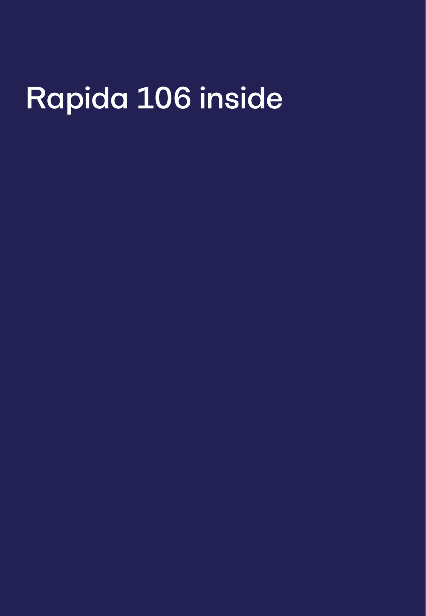# Rapida 106 inside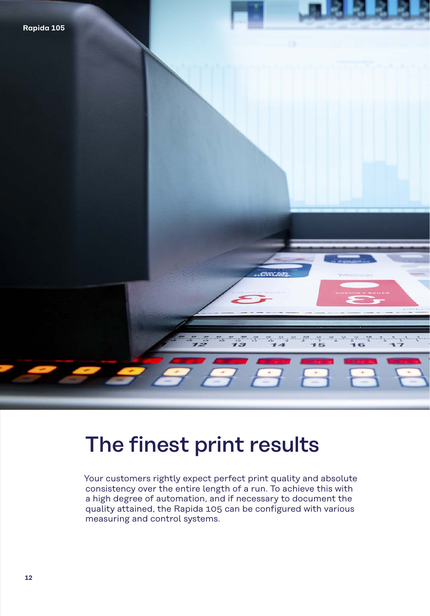## The finest print results

Your customers rightly expect perfect print quality and absolute consistency over the entire length of a run. To achieve this with a high degree of automation, and if necessary to document the quality attained, the Rapida 105 can be configured with various measuring and control systems.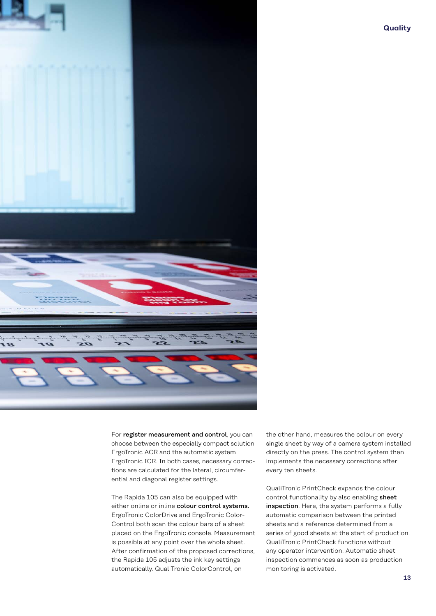

**Quality**

For **register measurement and control**, you can<br>choose between the especially compact solution<br>ErgoTronic ACR and the automatic system choose between the especially compact solution ErgoTronic ACR and the automatic system ErgoTronic ICR. In both cases, necessary corrections are calculated for the lateral, circumferential and diagonal register settings.

> The Rapida 105 can also be equipped with either online or inline colour control systems. ErgoTronic ColorDrive and ErgoTronic Color-Control both scan the colour bars of a sheet placed on the ErgoTronic console. Measurement is possible at any point over the whole sheet. After confirmation of the proposed corrections, the Rapida 105 adjusts the ink key settings automatically. QualiTronic ColorControl, on

the other hand, measures the colour on every single sheet by way of a camera system installed directly on the press. The control system then implements the necessary corrections after every ten sheets.

QualiTronic PrintCheck expands the colour control functionality by also enabling sheet inspection. Here, the system performs a fully automatic comparison between the printed sheets and a reference determined from a series of good sheets at the start of production. QualiTronic PrintCheck functions without any operator intervention. Automatic sheet inspection commences as soon as production monitoring is activated.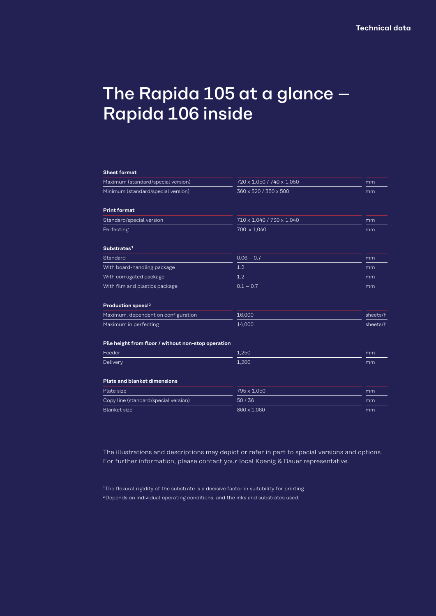### The Rapida 105 at a glance – Rapida 106 inside

| <b>Sheet format</b>                                 |                           |          |
|-----------------------------------------------------|---------------------------|----------|
| Maximum (standard/special version)                  | 720 x 1,050 / 740 x 1,050 | mm       |
| Minimum (standard/special version)                  | 360 x 520 / 350 x 500     | mm       |
| <b>Print format</b>                                 |                           |          |
| Standard/special version                            | 710 x 1,040 / 730 x 1,040 | mm       |
| Perfecting                                          | 700 x 1,040               | mm       |
| Substrates <sup>1</sup>                             |                           |          |
| Standard                                            | $0.06 - 0.7$              | mm       |
| With board-handling package                         | 1.2                       | mm       |
| With corrugated package                             | 1.2                       | mm       |
| With film and plastics package                      | $0.1 - 0.7$               | mm       |
| Production speed <sup>2</sup>                       |                           |          |
| Maximum, dependent on configuration                 | 16,000                    | sheets/h |
| Maximum in perfecting                               | 14,000                    | sheets/h |
| Pile height from floor / without non-stop operation |                           |          |
| Feeder                                              | 1,250                     | mm       |
| Delivery                                            | 1,200                     | mm       |
| <b>Plate and blanket dimensions</b>                 |                           |          |
| Plate size                                          | 795 x 1,050               | mm       |
| Copy line (standard/special version)                | 50/36                     | mm       |
| <b>Blanket</b> size                                 | 860 x 1,060               | mm       |

The illustrations and descriptions may depict or refer in part to special versions and options. For further information, please contact your local Koenig & Bauer representative.

2 Depends on individual operating conditions, and the inks and substrates used.

<sup>&</sup>lt;sup>1</sup>The flexural rigidity of the substrate is a decisive factor in suitability for printing.